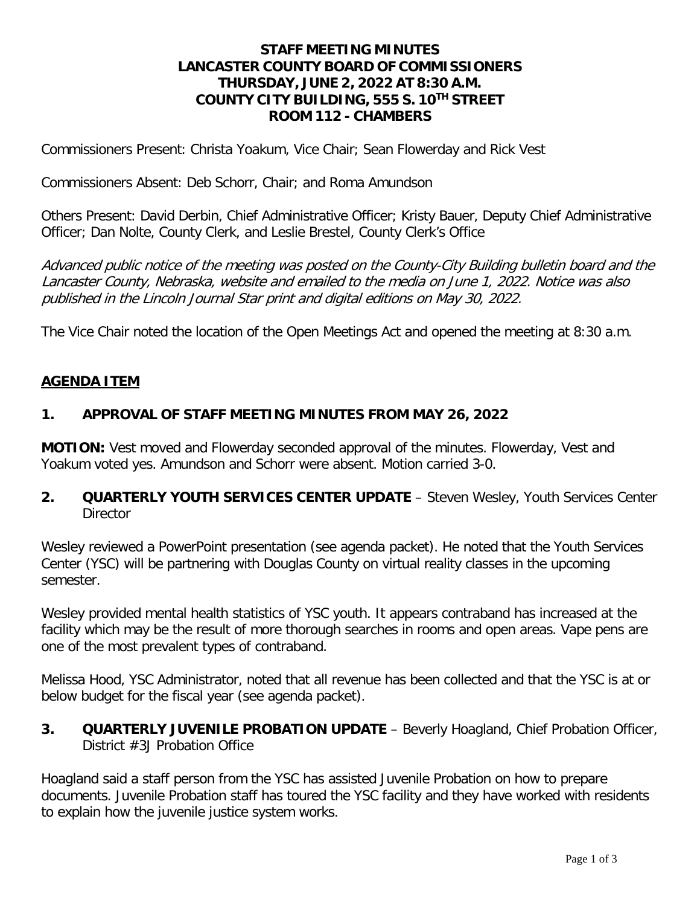### **STAFF MEETING MINUTES LANCASTER COUNTY BOARD OF COMMISSIONERS THURSDAY, JUNE 2, 2022 AT 8:30 A.M. COUNTY CITY BUILDING, 555 S. 10TH STREET ROOM 112 - CHAMBERS**

Commissioners Present: Christa Yoakum, Vice Chair; Sean Flowerday and Rick Vest

Commissioners Absent: Deb Schorr, Chair; and Roma Amundson

Others Present: David Derbin, Chief Administrative Officer; Kristy Bauer, Deputy Chief Administrative Officer; Dan Nolte, County Clerk, and Leslie Brestel, County Clerk's Office

Advanced public notice of the meeting was posted on the County-City Building bulletin board and the Lancaster County, Nebraska, website and emailed to the media on June 1, 2022. Notice was also published in the Lincoln Journal Star print and digital editions on May 30, 2022.

The Vice Chair noted the location of the Open Meetings Act and opened the meeting at 8:30 a.m.

#### **AGENDA ITEM**

#### **1. APPROVAL OF STAFF MEETING MINUTES FROM MAY 26, 2022**

**MOTION:** Vest moved and Flowerday seconded approval of the minutes. Flowerday, Vest and Yoakum voted yes. Amundson and Schorr were absent. Motion carried 3-0.

**2. QUARTERLY YOUTH SERVICES CENTER UPDATE** – Steven Wesley, Youth Services Center **Director** 

Wesley reviewed a PowerPoint presentation (see agenda packet). He noted that the Youth Services Center (YSC) will be partnering with Douglas County on virtual reality classes in the upcoming semester.

Wesley provided mental health statistics of YSC youth. It appears contraband has increased at the facility which may be the result of more thorough searches in rooms and open areas. Vape pens are one of the most prevalent types of contraband.

Melissa Hood, YSC Administrator, noted that all revenue has been collected and that the YSC is at or below budget for the fiscal year (see agenda packet).

**3. QUARTERLY JUVENILE PROBATION UPDATE** – Beverly Hoagland, Chief Probation Officer, District #3J Probation Office

Hoagland said a staff person from the YSC has assisted Juvenile Probation on how to prepare documents. Juvenile Probation staff has toured the YSC facility and they have worked with residents to explain how the juvenile justice system works.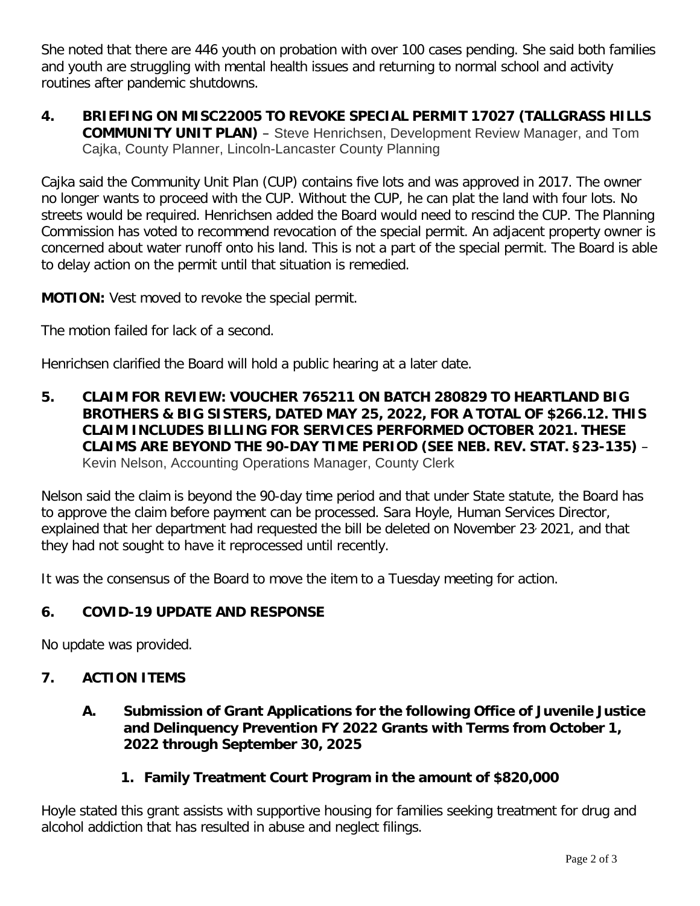She noted that there are 446 youth on probation with over 100 cases pending. She said both families and youth are struggling with mental health issues and returning to normal school and activity routines after pandemic shutdowns.

**4. BRIEFING ON MISC22005 TO REVOKE SPECIAL PERMIT 17027 (TALLGRASS HILLS COMMUNITY UNIT PLAN)** – Steve Henrichsen, Development Review Manager, and Tom Cajka, County Planner, Lincoln-Lancaster County Planning

Cajka said the Community Unit Plan (CUP) contains five lots and was approved in 2017. The owner no longer wants to proceed with the CUP. Without the CUP, he can plat the land with four lots. No streets would be required. Henrichsen added the Board would need to rescind the CUP. The Planning Commission has voted to recommend revocation of the special permit. An adjacent property owner is concerned about water runoff onto his land. This is not a part of the special permit. The Board is able to delay action on the permit until that situation is remedied.

**MOTION:** Vest moved to revoke the special permit.

The motion failed for lack of a second.

Henrichsen clarified the Board will hold a public hearing at a later date.

**5. CLAIM FOR REVIEW: VOUCHER 765211 ON BATCH 280829 TO HEARTLAND BIG BROTHERS & BIG SISTERS, DATED MAY 25, 2022, FOR A TOTAL OF \$266.12. THIS CLAIM INCLUDES BILLING FOR SERVICES PERFORMED OCTOBER 2021. THESE CLAIMS ARE BEYOND THE 90-DAY TIME PERIOD (SEE NEB. REV. STAT. §23-135)** – Kevin Nelson, Accounting Operations Manager, County Clerk

Nelson said the claim is beyond the 90-day time period and that under State statute, the Board has to approve the claim before payment can be processed. Sara Hoyle, Human Services Director, explained that her department had requested the bill be deleted on November 23, 2021, and that they had not sought to have it reprocessed until recently.

It was the consensus of the Board to move the item to a Tuesday meeting for action.

# **6. COVID-19 UPDATE AND RESPONSE**

No update was provided.

# **7. ACTION ITEMS**

### **A. Submission of Grant Applications for the following Office of Juvenile Justice and Delinquency Prevention FY 2022 Grants with Terms from October 1, 2022 through September 30, 2025**

#### **1. Family Treatment Court Program in the amount of \$820,000**

Hoyle stated this grant assists with supportive housing for families seeking treatment for drug and alcohol addiction that has resulted in abuse and neglect filings.